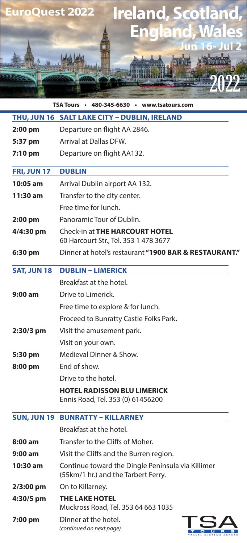

**TSA Tours • 480-345-6630 • www.tsatours.com**

|                    | THU, JUN 16 SALT LAKE CITY - DUBLIN, IRELAND                                             |
|--------------------|------------------------------------------------------------------------------------------|
| 2:00 pm            | Departure on flight AA 2846.                                                             |
| 5:37 pm            | <b>Arrival at Dallas DFW.</b>                                                            |
| $7:10$ pm          | Departure on flight AA132.                                                               |
| FRI, JUN 17        | <b>DUBLIN</b>                                                                            |
| $10:05$ am         | Arrival Dublin airport AA 132.                                                           |
| $11:30$ am         | Transfer to the city center.                                                             |
|                    | Free time for lunch.                                                                     |
| $2:00$ pm          | Panoramic Tour of Dublin.                                                                |
| 4/4:30 pm          | <b>Check-in at THE HARCOURT HOTEL</b><br>60 Harcourt Str., Tel. 353 1 478 3677           |
| 6:30 pm            | Dinner at hotel's restaurant "1900 BAR & RESTAURANT."                                    |
| <b>SAT, JUN 18</b> | <b>DUBLIN - LIMERICK</b>                                                                 |
|                    | Breakfast at the hotel.                                                                  |
| $9:00$ am          | Drive to Limerick.                                                                       |
|                    | Free time to explore & for lunch.                                                        |
|                    | Proceed to Bunratty Castle Folks Park.                                                   |
| 2:30/3 pm          | Visit the amusement park.                                                                |
|                    | Visit on your own.                                                                       |
| 5:30 pm            | Medieval Dinner & Show.                                                                  |
| 8:00 pm            | End of show.                                                                             |
|                    | Drive to the hotel.                                                                      |
|                    | <b>HOTEL RADISSON BLU LIMERICK</b>                                                       |
|                    | Ennis Road, Tel. 353 (0) 61456200                                                        |
| <b>SUN, JUN 19</b> | <b>BUNRATTY - KILLARNEY</b>                                                              |
|                    | Breakfast at the hotel.                                                                  |
| 8:00 am            | Transfer to the Cliffs of Moher.                                                         |
| $9:00 \text{ am}$  | Visit the Cliffs and the Burren region.                                                  |
| $10:30$ am         | Continue toward the Dingle Peninsula via Killimer<br>(55km/1 hr.) and the Tarbert Ferry. |
| 2/3:00 pm          | On to Killarney.                                                                         |
| 4:30/5 pm          | <b>THE LAKE HOTEL</b><br>Muckross Road, Tel. 353 64 663 1035                             |
| 7:00 pm            | Dinner at the hotel.<br>(continued on next page)                                         |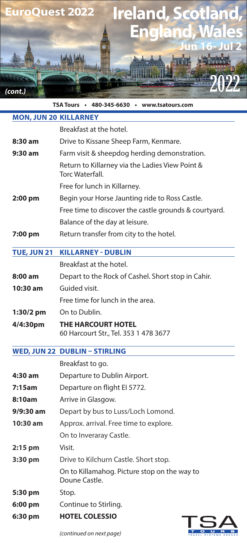

**TSA Tours • 480-345-6630 • www.tsatours.com**

| <b>MON, JUN 20 KILLARNEY</b> |                                                                           |
|------------------------------|---------------------------------------------------------------------------|
|                              | Breakfast at the hotel.                                                   |
| 8:30 am                      | Drive to Kissane Sheep Farm, Kenmare.                                     |
| $9:30$ am                    | Farm visit & sheepdog herding demonstration.                              |
|                              | Return to Killarney via the Ladies View Point &<br><b>Torc Waterfall.</b> |
|                              | Free for lunch in Killarney.                                              |
| 2:00 pm                      | Begin your Horse Jaunting ride to Ross Castle.                            |
|                              | Free time to discover the castle grounds & courtyard.                     |
|                              | Balance of the day at leisure.                                            |
| 7:00 pm                      | Return transfer from city to the hotel.                                   |
| <b>TUE, JUN 21</b>           | <b>KILLARNEY - DUBLIN</b>                                                 |
|                              | Breakfast at the hotel.                                                   |
| $8:00$ am                    | Depart to the Rock of Cashel. Short stop in Cahir.                        |
| $10:30$ am                   | Guided visit.                                                             |
|                              | Free time for lunch in the area.                                          |
| $1:30/2$ pm                  | On to Dublin.                                                             |
|                              |                                                                           |
| 4/4:30pm                     | <b>THE HARCOURT HOTEL</b><br>60 Harcourt Str., Tel. 353 1 478 3677        |
|                              | <b>WED, JUN 22 DUBLIN - STIRLING</b>                                      |
|                              | Breakfast to go.                                                          |
| 4:30 am                      | Departure to Dublin Airport.                                              |
| 7:15am                       | Departure on flight El 5772.                                              |
| 8:10am                       | Arrive in Glasgow.                                                        |
| $9/9:30$ am                  | Depart by bus to Luss/Loch Lomond.                                        |
| 10:30 am                     | Approx. arrival. Free time to explore.                                    |
|                              | On to Inveraray Castle.                                                   |
| $2:15$ pm                    | Visit.                                                                    |
| 3:30 pm                      | Drive to Kilchurn Castle. Short stop.                                     |
|                              | On to Killamahog. Picture stop on the way to<br>Doune Castle.             |
| 5:30 pm                      | Stop.                                                                     |
| 6:00 pm                      | Continue to Stirling.                                                     |

*(continued on next page)*

OURS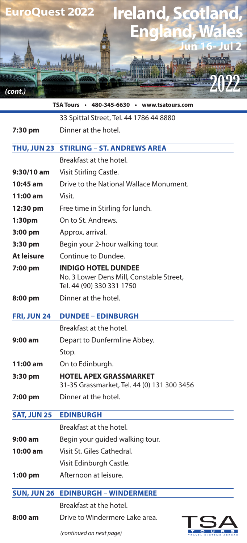

|                    | TSA Tours • 480-345-6630 • www.tsatours.com                                                         |
|--------------------|-----------------------------------------------------------------------------------------------------|
|                    | 33 Spittal Street, Tel. 44 1786 44 8880                                                             |
| 7:30 pm            | Dinner at the hotel.                                                                                |
|                    | THU, JUN 23 STIRLING - ST. ANDREWS AREA                                                             |
|                    | Breakfast at the hotel.                                                                             |
| 9:30/10 am         | Visit Stirling Castle.                                                                              |
| 10:45 am           | Drive to the National Wallace Monument.                                                             |
| $11:00$ am         | Visit.                                                                                              |
| 12:30 pm           | Free time in Stirling for lunch.                                                                    |
| 1:30 <sub>pm</sub> | On to St. Andrews.                                                                                  |
| 3:00 pm            | Approx. arrival.                                                                                    |
| 3:30 pm            | Begin your 2-hour walking tour.                                                                     |
| At leisure         | Continue to Dundee.                                                                                 |
| 7:00 pm            | <b>INDIGO HOTEL DUNDEE</b><br>No. 3 Lower Dens Mill, Constable Street,<br>Tel. 44 (90) 330 331 1750 |
| 8:00 pm            | Dinner at the hotel.                                                                                |
| <b>FRI, JUN 24</b> | <b>DUNDEE - EDINBURGH</b>                                                                           |
|                    | Breakfast at the hotel.                                                                             |
| 9:00 am            | Depart to Dunfermline Abbey.                                                                        |
|                    | Stop.                                                                                               |
| 11:00 am           | On to Edinburgh.                                                                                    |
| 3:30 pm            | <b>HOTEL APEX GRASSMARKET</b><br>31-35 Grassmarket, Tel. 44 (0) 131 300 3456                        |
| 7:00 pm            | Dinner at the hotel.                                                                                |
| <b>SAT, JUN 25</b> | <b>EDINBURGH</b>                                                                                    |
|                    | Breakfast at the hotel.                                                                             |
| 9:00 am            | Begin your guided walking tour.                                                                     |
| 10:00 am           | Visit St. Giles Cathedral.                                                                          |
|                    | Visit Edinburgh Castle.                                                                             |
| $1:00$ pm          | Afternoon at leisure.                                                                               |
| <b>SUN, JUN 26</b> | <b>EDINBURGH - WINDERMERE</b>                                                                       |
|                    | Breakfast at the hotel.                                                                             |
| 8:00 am            | Drive to Windermere Lake area.<br>TSA                                                               |

*(continued on next page)*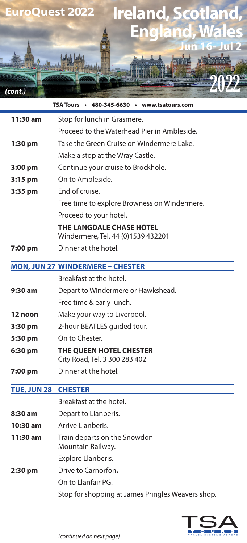

|                    | TSA Tours • 480-345-6630 • www.tsatours.com              |
|--------------------|----------------------------------------------------------|
| 11:30 am           | Stop for lunch in Grasmere.                              |
|                    | Proceed to the Waterhead Pier in Ambleside.              |
| $1:30$ pm          | Take the Green Cruise on Windermere Lake.                |
|                    | Make a stop at the Wray Castle.                          |
| 3:00 pm            | Continue your cruise to Brockhole.                       |
| $3:15$ pm          | On to Ambleside.                                         |
| 3:35 pm            | End of cruise.                                           |
|                    | Free time to explore Browness on Windermere.             |
|                    | Proceed to your hotel.                                   |
|                    | <b>THE LANGDALE CHASE HOTEL</b>                          |
|                    | Windermere, Tel. 44 (0)1539 432201                       |
| 7:00 pm            | Dinner at the hotel.                                     |
|                    | <b>MON, JUN 27 WINDERMERE - CHESTER</b>                  |
|                    | Breakfast at the hotel.                                  |
| $9:30$ am          | Depart to Windermere or Hawkshead.                       |
|                    | Free time & early lunch.                                 |
| 12 noon            | Make your way to Liverpool.                              |
| 3:30 pm            | 2-hour BEATLES guided tour.                              |
| 5:30 pm            | On to Chester.                                           |
| 6:30 pm            | THE QUEEN HOTEL CHESTER<br>City Road, Tel. 3 300 283 402 |
| 7:00 pm            | Dinner at the hotel.                                     |
| <b>TUE, JUN 28</b> | <b>CHESTER</b>                                           |
|                    | Breakfast at the hotel.                                  |
| 8:30 am            | Depart to Llanberis.                                     |
| 10:30 am           | Arrive Llanberis.                                        |
| 11:30 am           | Train departs on the Snowdon<br>Mountain Railway.        |
|                    | Explore Llanberis.                                       |
| 2:30 pm            | Drive to Carnorfon.                                      |
|                    | On to Llanfair PG.                                       |
|                    | Stop for shopping at James Pringles Weavers shop.        |

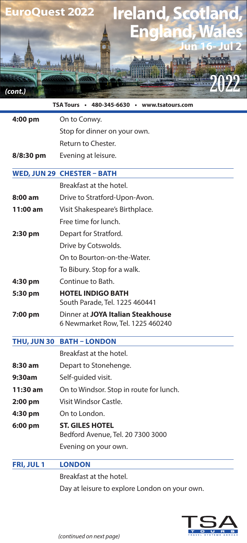

| TSA Tours • 480-345-6630 • www.tsatours.com |                                                                        |  |
|---------------------------------------------|------------------------------------------------------------------------|--|
| 4:00 pm                                     | On to Conwy.                                                           |  |
|                                             | Stop for dinner on your own.                                           |  |
|                                             | Return to Chester.                                                     |  |
| 8/8:30 pm                                   | Evening at leisure.                                                    |  |
|                                             | WED, JUN 29 CHESTER - BATH                                             |  |
|                                             | Breakfast at the hotel.                                                |  |
| 8:00 am                                     | Drive to Stratford-Upon-Avon.                                          |  |
| 11:00 am                                    | Visit Shakespeare's Birthplace.                                        |  |
|                                             | Free time for lunch.                                                   |  |
| 2:30 pm                                     | Depart for Stratford.                                                  |  |
|                                             | Drive by Cotswolds.                                                    |  |
|                                             | On to Bourton-on-the-Water.                                            |  |
|                                             | To Bibury. Stop for a walk.                                            |  |
| 4:30 pm                                     | Continue to Bath.                                                      |  |
| 5:30 pm                                     | <b>HOTEL INDIGO BATH</b><br>South Parade, Tel. 1225 460441             |  |
| 7:00 pm                                     | Dinner at JOYA Italian Steakhouse<br>6 Newmarket Row, Tel. 1225 460240 |  |
| <b>THU, JUN 30</b>                          | <b>BATH - LONDON</b>                                                   |  |
|                                             | Breakfast at the hotel.                                                |  |
| 8:30 am                                     | Depart to Stonehenge.                                                  |  |
| 9:30am                                      | Self-quided visit.                                                     |  |
| 11:30 am                                    | On to Windsor. Stop in route for lunch.                                |  |
| $2:00$ pm                                   | Visit Windsor Castle.                                                  |  |
| 4:30 pm                                     | On to London.                                                          |  |
| 6:00 pm                                     | <b>ST. GILES HOTEL</b><br>Bedford Avenue, Tel. 20 7300 3000            |  |
|                                             | Evening on your own.                                                   |  |
| FRI, JUL 1                                  | <b>LONDON</b>                                                          |  |
|                                             | Breakfast at the hotel.                                                |  |
|                                             |                                                                        |  |

Day at leisure to explore London on your own.